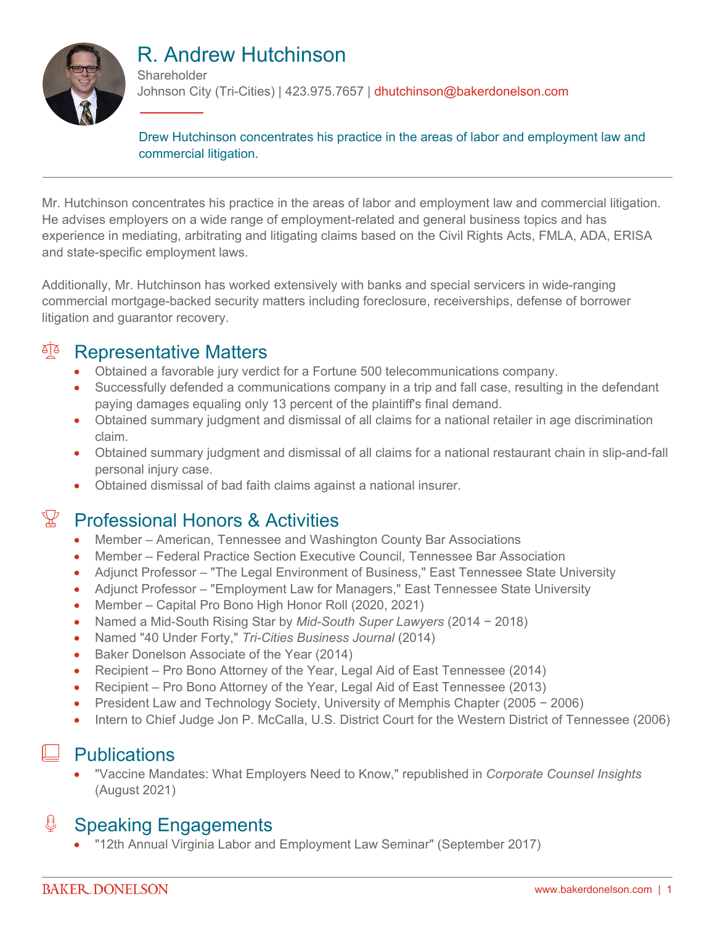

# R. Andrew Hutchinson

**Shareholder** Johnson City (Tri-Cities) | 423.975.7657 | dhutchinson@bakerdonelson.com

Drew Hutchinson concentrates his practice in the areas of labor and employment law and commercial litigation.

Mr. Hutchinson concentrates his practice in the areas of labor and employment law and commercial litigation. He advises employers on a wide range of employment-related and general business topics and has experience in mediating, arbitrating and litigating claims based on the Civil Rights Acts, FMLA, ADA, ERISA and state-specific employment laws.

Additionally, Mr. Hutchinson has worked extensively with banks and special servicers in wide-ranging commercial mortgage-backed security matters including foreclosure, receiverships, defense of borrower litigation and guarantor recovery.

## <sup>A</sup> Representative Matters

- Obtained a favorable jury verdict for a Fortune 500 telecommunications company.
- Successfully defended a communications company in a trip and fall case, resulting in the defendant paying damages equaling only 13 percent of the plaintiff's final demand.
- Obtained summary judgment and dismissal of all claims for a national retailer in age discrimination claim.
- Obtained summary judgment and dismissal of all claims for a national restaurant chain in slip-and-fall personal injury case.
- Obtained dismissal of bad faith claims against a national insurer.

# $\mathbb{X}$  Professional Honors & Activities

- Member American, Tennessee and Washington County Bar Associations
- Member Federal Practice Section Executive Council, Tennessee Bar Association
- Adjunct Professor "The Legal Environment of Business," East Tennessee State University
- Adjunct Professor "Employment Law for Managers," East Tennessee State University
- Member Capital Pro Bono High Honor Roll (2020, 2021)
- Named a Mid-South Rising Star by *Mid-South Super Lawyers* (2014 − 2018)
- Named "40 Under Forty," *Tri-Cities Business Journal* (2014)
- Baker Donelson Associate of the Year (2014)
- Recipient Pro Bono Attorney of the Year, Legal Aid of East Tennessee (2014)
- Recipient Pro Bono Attorney of the Year, Legal Aid of East Tennessee (2013)
- President Law and Technology Society, University of Memphis Chapter (2005 − 2006)
- Intern to Chief Judge Jon P. McCalla, U.S. District Court for the Western District of Tennessee (2006)

### **Publications**

 "Vaccine Mandates: What Employers Need to Know," republished in *Corporate Counsel Insights* (August 2021)

### J Speaking Engagements

"12th Annual Virginia Labor and Employment Law Seminar" (September 2017)